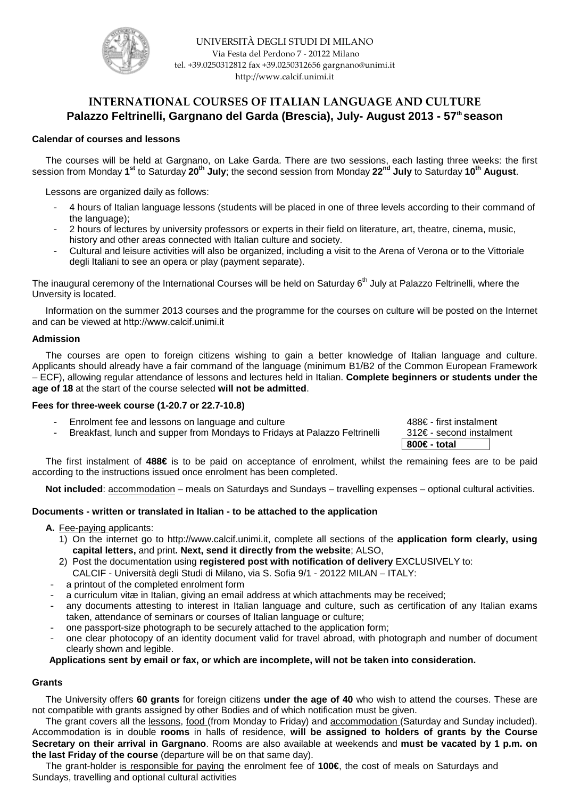

# INTERNATIONAL COURSES OF ITALIAN LANGUAGE AND CULTURE **Palazzo Feltrinelli, Gargnano del Garda (Brescia), July- August 2013 - 57th season**

# **Calendar of courses and lessons**

The courses will be held at Gargnano, on Lake Garda. There are two sessions, each lasting three weeks: the first session from Monday **1 st** to Saturday **20th July**; the second session from Monday **22nd July** to Saturday **10th August**.

Lessons are organized daily as follows:

- 4 hours of Italian language lessons (students will be placed in one of three levels according to their command of the language);
- 2 hours of lectures by university professors or experts in their field on literature, art, theatre, cinema, music, history and other areas connected with Italian culture and society.
- Cultural and leisure activities will also be organized, including a visit to the Arena of Verona or to the Vittoriale degli Italiani to see an opera or play (payment separate).

The inaugural ceremony of the International Courses will be held on Saturday  $6<sup>th</sup>$  July at Palazzo Feltrinelli, where the Unversity is located.

Information on the summer 2013 courses and the programme for the courses on culture will be posted on the Internet and can be viewed at http://www.calcif.unimi.it

# **Admission**

The courses are open to foreign citizens wishing to gain a better knowledge of Italian language and culture. Applicants should already have a fair command of the language (minimum B1/B2 of the Common European Framework – ECF), allowing regular attendance of lessons and lectures held in Italian. **Complete beginners or students under the age of 18** at the start of the course selected **will not be admitted**.

# **Fees for three-week course (1-20.7 or 22.7-10.8)**

- Enrolment fee and lessons on language and culture 488€ first instalment
- Breakfast, lunch and supper from Mondays to Fridays at Palazzo Feltrinelli 312€- second instalment

**800€ - total** 

The first instalment of **488€** is to be paid on acceptance of enrolment, whilst the remaining fees are to be paid according to the instructions issued once enrolment has been completed.

**Not included**: accommodation – meals on Saturdays and Sundays – travelling expenses – optional cultural activities.

# **Documents - written or translated in Italian - to be attached to the application**

- **A.** Fee-paying applicants:
	- 1) On the internet go to http://www.calcif.unimi.it, complete all sections of the **application form clearly, using capital letters,** and print**. Next, send it directly from the website**; ALSO,
	- 2) Post the documentation using **registered post with notification of delivery** EXCLUSIVELY to: CALCIF - Università degli Studi di Milano, via S. Sofia 9/1 - 20122 MILAN – ITALY:
- a printout of the completed enrolment form
- a curriculum vitæ in Italian, giving an email address at which attachments may be received;
- any documents attesting to interest in Italian language and culture, such as certification of any Italian exams taken, attendance of seminars or courses of Italian language or culture;
- one passport-size photograph to be securely attached to the application form;
- one clear photocopy of an identity document valid for travel abroad, with photograph and number of document clearly shown and legible.

# **Applications sent by email or fax, or which are incomplete, will not be taken into consideration.**

# **Grants**

The University offers **60 grants** for foreign citizens **under the age of 40** who wish to attend the courses. These are not compatible with grants assigned by other Bodies and of which notification must be given.

The grant covers all the lessons, food (from Monday to Friday) and accommodation (Saturday and Sunday included). Accommodation is in double **rooms** in halls of residence, **will be assigned to holders of grants by the Course Secretary on their arrival in Gargnano**. Rooms are also available at weekends and **must be vacated by 1 p.m. on the last Friday of the course** (departure will be on that same day).

The grant-holder is responsible for paying the enrolment fee of **100€**, the cost of meals on Saturdays and Sundays, travelling and optional cultural activities